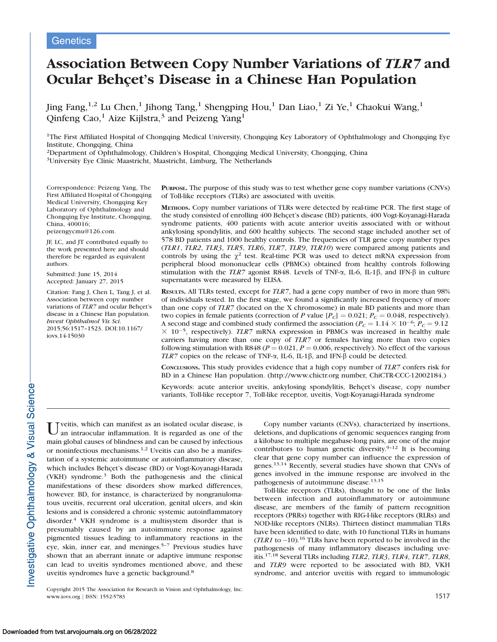## **Genetics**

# Association Between Copy Number Variations of TLR7 and Ocular Behçet's Disease in a Chinese Han Population

Jing Fang,  $^{1,2}$  Lu Chen,<sup>1</sup> Jihong Tang,<sup>1</sup> Shengping Hou,<sup>1</sup> Dan Liao,<sup>1</sup> Zi Ye,<sup>1</sup> Chaokui Wang,<sup>1</sup> Qinfeng Cao,<sup>1</sup> Aize Kijlstra,<sup>3</sup> and Peizeng Yang<sup>1</sup>

<sup>1</sup>The First Affiliated Hospital of Chongqing Medical University, Chongqing Key Laboratory of Ophthalmology and Chongqing Eye Institute, Chongqing, China

2Department of Ophthalmology, Children's Hospital, Chongqing Medical University, Chongqing, China

3University Eye Clinic Maastricht, Maastricht, Limburg, The Netherlands

Correspondence: Peizeng Yang, The First Affiliated Hospital of Chongqing Medical University, Chongqing Key Laboratory of Ophthalmology and Chongqing Eye Institute, Chongqing, China, 400016;

peizengycmu@126.com.

JF, LC, and JT contributed equally to the work presented here and should therefore be regarded as equivalent authors.

Submitted: June 15, 2014 Accepted: January 27, 2015

Citation: Fang J, Chen L, Tang J, et al. Association between copy number variations of TLR7 and ocular Behçet's disease in a Chinese Han population. Invest Ophthalmol Vis Sci. 2015;56:1517–1523. DOI:10.1167/ iovs.14-15030

PURPOSE. The purpose of this study was to test whether gene copy number variations (CNVs) of Toll-like receptors (TLRs) are associated with uveitis.

METHODS. Copy number variations of TLRs were detected by real-time PCR. The first stage of the study consisted of enrolling 400 Behcet's disease (BD) patients, 400 Vogt-Koyanagi-Harada syndrome patients, 400 patients with acute anterior uveitis associated with or without ankylosing spondylitis, and 600 healthy subjects. The second stage included another set of 578 BD patients and 1000 healthy controls. The frequencies of TLR gene copy number types (TLR1, TLR2, TLR3, TLR5, TLR6, TLR7, TLR9, TLR10) were compared among patients and controls by using the  $\chi^2$  test. Real-time PCR was used to detect mRNA expression from peripheral blood mononuclear cells (PBMCs) obtained from healthy controls following stimulation with the TLR7 agonist R848. Levels of TNF- $\alpha$ , IL-6, IL-1 $\beta$ , and IFN- $\beta$  in culture supernatants were measured by ELISA.

RESULTS. All TLRs tested, except for TLR7, had a gene copy number of two in more than 98% of individuals tested. In the first stage, we found a significantly increased frequency of more than one copy of TLR7 (located on the X chromosome) in male BD patients and more than two copies in female patients (correction of P value  $[P_C] = 0.021; P_C = 0.048$ , respectively). A second stage and combined study confirmed the association ( $P_C = 1.14 \times 10^{-6}$ ;  $P_C = 9.12$ )  $\times$  10<sup>-5</sup>, respectively). TLR7 mRNA expression in PBMCs was increased in healthy male carriers having more than one copy of TLR7 or females having more than two copies following stimulation with R848 ( $P = 0.021$ ,  $P = 0.006$ , respectively). No effect of the various TLR7 copies on the release of TNF- $\alpha$ , IL-6, IL-1 $\beta$ , and IFN- $\beta$  could be detected.

CONCLUSIONS. This study provides evidence that a high copy number of TLR7 confers risk for BD in a Chinese Han population. (http://www.chictr.org number, ChiCTR-CCC-12002184.)

Keywords: acute anterior uveitis, ankylosing spondylitis, Behçet's disease, copy number variants, Toll-like receptor 7, Toll-like receptor, uveitis, Vogt-Koyanagi-Harada syndrome

 $\prod_{n=1}^{\infty}$  veitis, which can manifest as an isolated ocular disease, is an intraocular inflammation. It is regarded as one of the main global causes of blindness and can be caused by infectious or noninfectious mechanisms.<sup>1,2</sup> Uveitis can also be a manifestation of a systemic autoimmune or autoinflammatory disease, which includes Behçet's disease (BD) or Vogt-Koyanagi-Harada (VKH) syndrome.<sup>3</sup> Both the pathogenesis and the clinical manifestations of these disorders show marked differences, however. BD, for instance, is characterized by nongranulomatous uveitis, recurrent oral ulceration, genital ulcers, and skin lesions and is considered a chronic systemic autoinflammatory disorder.4 VKH syndrome is a multisystem disorder that is presumably caused by an autoimmune response against pigmented tissues leading to inflammatory reactions in the eye, skin, inner ear, and meninges.<sup>5-7</sup> Previous studies have shown that an aberrant innate or adaptive immune response can lead to uveitis syndromes mentioned above, and these uveitis syndromes have a genetic background.8

Copyright 2015 The Association for Research in Vision and Ophthalmology, Inc. www.iovs.org | ISSN: 1552-5783 1517

Copy number variants (CNVs), characterized by insertions, deletions, and duplications of genomic sequences ranging from a kilobase to multiple megabase-long pairs, are one of the major contributors to human genetic diversity.<sup>9-12</sup> It is becoming clear that gene copy number can influence the expression of genes.13,14 Recently, several studies have shown that CNVs of genes involved in the immune response are involved in the pathogenesis of autoimmune disease.<sup>13,15</sup>

Toll-like receptors (TLRs), thought to be one of the links between infection and autoinflammatory or autoimmune disease, are members of the family of pattern recognition receptors (PRRs) together with RIG-I-like receptors (RLRs) and NOD-like receptors (NLRs). Thirteen distinct mammalian TLRs have been identified to date, with 10 functional TLRs in humans  $(TLR1$  to  $-10$ ).<sup>16</sup> TLRs have been reported to be involved in the pathogenesis of many inflammatory diseases including uveitis.17,18 Several TLRs including TLR2, TLR3, TLR4, TLR7, TLR8, and TLR9 were reported to be associated with BD, VKH syndrome, and anterior uveitis with regard to immunologic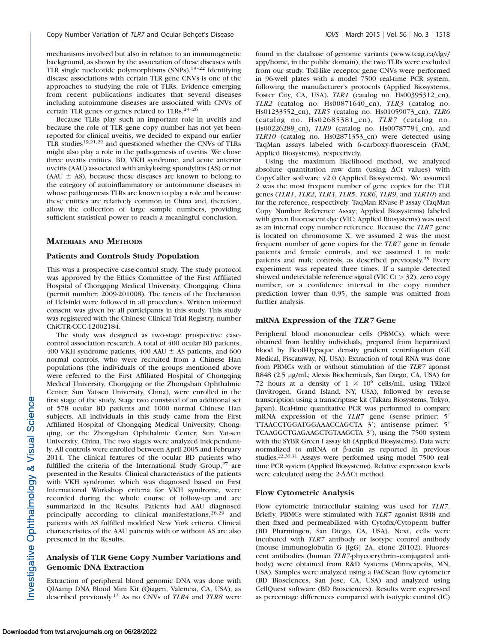mechanisms involved but also in relation to an immunogenetic background, as shown by the association of these diseases with TLR single nucleotide polymorphisms (SNPs).19–22 Identifying disease associations with certain TLR gene CNVs is one of the approaches to studying the role of TLRs. Evidence emerging from recent publications indicates that several diseases including autoimmune diseases are associated with CNVs of certain TLR genes or genes related to TLRs.<sup>23-26</sup>

Because TLRs play such an important role in uveitis and because the role of TLR gene copy number has not yet been reported for clinical uveitis, we decided to expand our earlier TLR studies19,21,22 and questioned whether the CNVs of TLRs might also play a role in the pathogenesis of uveitis. We chose three uveitis entities, BD, VKH syndrome, and acute anterior uveitis (AAU) associated with ankylosing spondylitis (AS) or not (AAU  $\pm$  AS), because these diseases are known to belong to the category of autoinflammatory or autoimmune diseases in whose pathogenesis TLRs are known to play a role and because these entities are relatively common in China and, therefore, allow the collection of large sample numbers, providing sufficient statistical power to reach a meaningful conclusion.

## MATERIALS AND METHODS

#### Patients and Controls Study Population

This was a prospective case-control study. The study protocol was approved by the Ethics Committee of the First Affiliated Hospital of Chongqing Medical University, Chongqing, China (permit number: 2009-201008). The tenets of the Declaration of Helsinki were followed in all procedures. Written informed consent was given by all participants in this study. This study was registered with the Chinese Clinical Trial Registry, number ChiCTR-CCC-12002184.

The study was designed as two-stage prospective casecontrol association research. A total of 400 ocular BD patients, 400 VKH syndrome patients, 400 AAU  $\pm$  AS patients, and 600 normal controls, who were recruited from a Chinese Han populations (the individuals of the groups mentioned above were referred to the First Affiliated Hospital of Chongqing Medical University, Chongqing or the Zhongshan Ophthalmic Center, Sun Yat-sen University, China), were enrolled in the first stage of the study. Stage two consisted of an additional set of 578 ocular BD patients and 1000 normal Chinese Han subjects. All individuals in this study came from the First Affiliated Hospital of Chongqing Medical University, Chongqing, or the Zhongshan Ophthalmic Center, Sun Yat-sen University, China. The two stages were analyzed independently. All controls were enrolled between April 2005 and February 2014. The clinical features of the ocular BD patients who fulfilled the criteria of the International Study Group, $27$  are presented in the Results. Clinical characteristics of the patients with VKH syndrome, which was diagnosed based on First International Workshop criteria for VKH syndrome, were recorded during the whole course of follow-up and are summarized in the Results. Patients had AAU diagnosed principally according to clinical manifestations,<sup>28,29</sup> and patients with AS fulfilled modified New York criteria. Clinical characteristics of the AAU patients with or without AS are also presented in the Results.

## Analysis of TLR Gene Copy Number Variations and Genomic DNA Extraction

Extraction of peripheral blood genomic DNA was done with QIAamp DNA Blood Mini Kit (Qiagen, Valencia, CA, USA), as described previously.<sup>13</sup> As no CNVs of TLR4 and TLR8 were found in the database of genomic variants (www.tcag.ca/dgv/ app/home, in the public domain), the two TLRs were excluded from our study. Toll-like receptor gene CNVs were performed in 96-well plates with a model 7500 real-time PCR system, following the manufacturer's protocols (Applied Biosystems, Foster City, CA, USA). TLR1 (catalog no. Hs00395312\_cn), TLR2 (catalog no. Hs00871640\_cn), TLR3 (catalog no. Hs01233552\_cn), TLR5 (catalog no. Hs01059073\_cn), TLR6 (catalog no. Hs02685381\_cn), TLR7 (catalog no. Hs00226289\_cn), TLR9 (catalog no. Hs00787794\_cn), and TLR10 (catalog no. Hs02871353\_cn) were detected using TaqMan assays labeled with 6-carboxy-fluorescein (FAM; Applied Biosystems), respectively.

Using the maximum likelihood method, we analyzed absolute quantitation raw data (using  $\Delta$ Ct values) with CopyCaller software v2.0 (Applied Biosystems). We assumed 2 was the most frequent number of gene copies for the TLR genes (TLR1, TLR2, TLR3, TLR5, TLR6, TLR9, and TLR10) and for the reference, respectively. TaqMan RNase P assay (TaqMan Copy Number Reference Assay; Applied Biosystems) labeled with green fluorescent dye (VIC; Applied Biosystems) was used as an internal copy number reference. Because the TLR7 gene is located on chromosome X, we assumed 2 was the most frequent number of gene copies for the TLR7 gene in female patients and female controls, and we assumed 1 in male patients and male controls, as described previously.<sup>25</sup> Every experiment was repeated three times. If a sample detected showed undetectable reference signal (VIC Ct > 32), zero copy number, or a confidence interval in the copy number prediction lower than 0.95, the sample was omitted from further analysis.

#### mRNA Expression of the TLR7 Gene

Peripheral blood mononuclear cells (PBMCs), which were obtained from healthy individuals, prepared from heparinized blood by Ficoll-Hypaque density gradient centrifugation (GE Medical, Piscataway, NJ, USA). Extraction of total RNA was done from PBMCs with or without stimulation of the TLR7 agonist R848 (2.5 µg/mL; Alexis Biochemicals, San Diego, CA, USA) for 72 hours at a density of  $1 \times 10^6$  cells/mL, using TRIzol (Invitrogen, Grand Island, NY, USA), followed by reverse transcription using a transcriptase kit (Takara Biosystems, Tokyo, Japan). Real-time quantitative PCR was performed to compare mRNA expression of the  $TLR7$  gene (sense primer:  $5'$  $TTAACCTGGATAACCAGCTA 3';$  antisense primer: 5' TCAAGGCTGAGAAGCTGTAAGCTA 3<sup>'</sup>), using the 7500 system with the SYBR Green I assay kit (Applied Biosystems). Data were normalized to mRNA of  $\beta$ -actin as reported in previous studies.22,30,31 Assays were performed using model 7500 realtime PCR system (Applied Biosystems). Relative expression levels were calculated using the  $2-\Delta\Delta$ Ct method.

#### Flow Cytometric Analysis

Flow cytometric intracellular staining was used for TLR7. Briefly, PBMCs were stimulated with TLR7 agonist R848 and then fixed and permeabilized with Cytofix/Cytoperm buffer (BD Pharmingen, San Diego, CA, USA). Next, cells were incubated with TLR7 antibody or isotype control antibody (mouse immunoglobulin G [IgG] 2A, clone 20102). Fluorescent antibodies (human TLR7-phycoerythrin–conjugated antibody) were obtained from R&D Systems (Minneapolis, MN, USA). Samples were analyzed using a FACScan flow cytometer (BD Biosciences, San Jose, CA, USA) and analyzed using CellQuest software (BD Biosciences). Results were expressed as percentage differences compared with isotypic control (IC)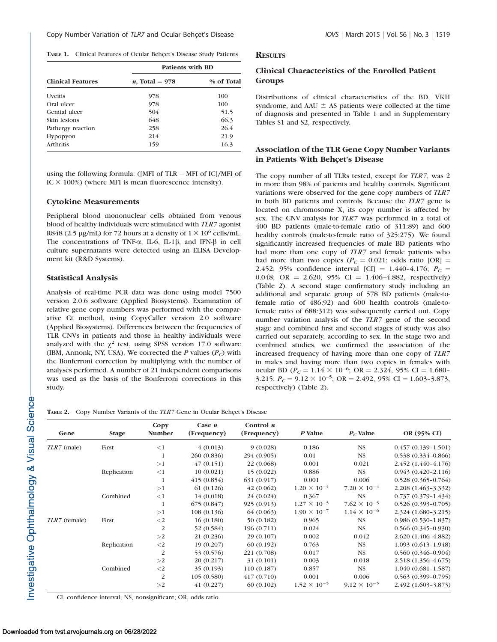TABLE 1. Clinical Features of Ocular Behçet's Disease Study Patients

|                          | <b>Patients with BD</b>  |            |  |  |  |
|--------------------------|--------------------------|------------|--|--|--|
| <b>Clinical Features</b> | <i>n</i> , Total = $978$ | % of Total |  |  |  |
| <b>Uveitis</b>           | 978                      | 100        |  |  |  |
| Oral ulcer               | 978                      | 100        |  |  |  |
| Genital ulcer            | 504                      | 51.5       |  |  |  |
| Skin lesions             | 648                      | 66.3       |  |  |  |
| Pathergy reaction        | 258                      | 26.4       |  |  |  |
| Hypopyon                 | 214                      | 21.9       |  |  |  |
| <b>Arthritis</b>         | 159                      | 16.3       |  |  |  |

using the following formula: ([MFI of TLR - MFI of IC]/MFI of IC  $\times$  100%) (where MFI is mean fluorescence intensity).

#### Cytokine Measurements

Peripheral blood mononuclear cells obtained from venous blood of healthy individuals were stimulated with TLR7 agonist R848 (2.5 µg/mL) for 72 hours at a density of  $1 \times 10^6$  cells/mL. The concentrations of TNF- $\alpha$ , IL-6, IL-1 $\beta$ , and IFN- $\beta$  in cell culture supernatants were detected using an ELISA Development kit (R&D Systems).

#### Statistical Analysis

Analysis of real-time PCR data was done using model 7500 version 2.0.6 software (Applied Biosystems). Examination of relative gene copy numbers was performed with the comparative Ct method, using CopyCaller version 2.0 software (Applied Biosystems). Differences between the frequencies of TLR CNVs in patients and those in healthy individuals were analyzed with the  $\chi^2$  test, using SPSS version 17.0 software (IBM, Armonk, NY, USA). We corrected the  $P$  values ( $P_C$ ) with the Bonferroni correction by multiplying with the number of analyses performed. A number of 21 independent comparisons was used as the basis of the Bonferroni corrections in this study.

## **RESULTS**

## Clinical Characteristics of the Enrolled Patient Groups

Distributions of clinical characteristics of the BD, VKH syndrome, and AAU  $\pm$  AS patients were collected at the time of diagnosis and presented in Table 1 and in [Supplementary](http://www.iovs.org/content/56/3/1517/suppl/DC1) [Tables S1](http://www.iovs.org/content/56/3/1517/suppl/DC1) and [S2](http://www.iovs.org/content/56/3/1517/suppl/DC1), respectively.

## Association of the TLR Gene Copy Number Variants in Patients With Behçet's Disease

The copy number of all TLRs tested, except for TLR7, was 2 in more than 98% of patients and healthy controls. Significant variations were observed for the gene copy numbers of TLR7 in both BD patients and controls. Because the TLR7 gene is located on chromosome X, its copy number is affected by sex. The CNV analysis for TLR7 was performed in a total of 400 BD patients (male-to-female ratio of 311:89) and 600 healthy controls (male-to-female ratio of 325:275). We found significantly increased frequencies of male BD patients who had more than one copy of TLR7 and female patients who had more than two copies ( $P<sub>C</sub> = 0.021$ ; odds ratio [OR] = 2.452; 95% confidence interval [CI] = 1.440-4.176;  $P_C$  = 0.048; OR = 2.620, 95% CI = 1.406-4.882, respectively) (Table 2). A second stage confirmatory study including an additional and separate group of 578 BD patients (male-tofemale ratio of 486:92) and 600 health controls (male-tofemale ratio of 688:312) was subsequently carried out. Copy number variation analysis of the TLR7 gene of the second stage and combined first and second stages of study was also carried out separately, according to sex. In the stage two and combined studies, we confirmed the association of the increased frequency of having more than one copy of TLR7 in males and having more than two copies in females with ocular BD ( $P_C = 1.14 \times 10^{-6}$ ; OR = 2.324, 95% CI = 1.680-3.215;  $P_C = 9.12 \times 10^{-5}$ ; OR = 2.492, 95% CI = 1.603-3.873, respectively) (Table 2).

TABLE 2. Copy Number Variants of the TLR7 Gene in Ocular Behçet's Disease

| Gene          | <b>Stage</b> | Copy<br><b>Number</b> | Case $n$<br>(Frequency) | Control $n$<br>(Frequency) | P Value               | $P_C$ Value           | OR (95% CI)            |
|---------------|--------------|-----------------------|-------------------------|----------------------------|-----------------------|-----------------------|------------------------|
|               |              |                       |                         |                            |                       |                       |                        |
| TLR7 (male)   | First        | ${<}1$                | 4(0.013)                | 9(0.028)                   | 0.186                 | <b>NS</b>             | $0.457(0.139 - 1.501)$ |
|               |              |                       | 260 (0.836)             | 294 (0.905)                | 0.01                  | <b>NS</b>             | $0.538(0.334 - 0.866)$ |
|               |              | >1                    | 47(0.151)               | 22 (0.068)                 | 0.001                 | 0.021                 | 2.452 (1.440-4.176)    |
|               | Replication  | $<$ 1                 | 10(0.021)               | 15(0.022)                  | 0.886                 | <b>NS</b>             | $0.943(0.420 - 2.116)$ |
|               |              | 1                     | 415(0.854)              | 631 (0.917)                | 0.001                 | 0.006                 | $0.528(0.365 - 0.764)$ |
|               |              | >1                    | 61(0.126)               | 42(0.062)                  | $1.20 \times 10^{-4}$ | $7.20 \times 10^{-4}$ | 2.208 (1.463-3.332)    |
|               | Combined     | $<$ 1                 | 14 (0.018)              | 24(0.024)                  | 0.367                 | <b>NS</b>             | $0.737(0.379 - 1.434)$ |
|               |              | $\mathbf{1}$          | 675(0.847)              | 925 (0.913)                | $1.27 \times 10^{-5}$ | $7.62 \times 10^{-5}$ | $0.526(0.393 - 0.705)$ |
|               |              | >1                    | 108(0.136)              | 64 (0.063)                 | $1.90 \times 10^{-7}$ | $1.14 \times 10^{-6}$ | 2.324 (1.680-3.215)    |
| TLR7 (female) | First        | $\leq$ 2              | 16(0.180)               | 50 (0.182)                 | 0.965                 | <b>NS</b>             | $0.986(0.530-1.837)$   |
|               |              | 2                     | 52 (0.584)              | 196 (0.711)                | 0.024                 | <b>NS</b>             | $0.566(0.345 - 0.930)$ |
|               |              | >2                    | 21 (0.236)              | 29(0.107)                  | 0.002                 | 0.042                 | 2.620 (1.406-4.882)    |
|               | Replication  | $\leq$ 2              | 19 (0.207)              | 60(0.192)                  | 0.763                 | <b>NS</b>             | $1.093(0.613 - 1.948)$ |
|               |              | 2                     | 53 (0.576)              | 221 (0.708)                | 0.017                 | <b>NS</b>             | $0.560(0.346 - 0.904)$ |
|               |              | >2                    | 20(0.217)               | 31 (0.101)                 | 0.003                 | 0.018                 | 2.518 (1.356-4.675)    |
|               | Combined     | $\leq$ 2              | 35 (0.193)              | 110 (0.187)                | 0.857                 | <b>NS</b>             | $1.040(0.681 - 1.587)$ |
|               |              | $\overline{2}$        | 105 (0.580)             | 417(0.710)                 | 0.001                 | 0.006                 | $0.563(0.399 - 0.795)$ |
|               |              | >2                    | 41(0.227)               | 60(0.102)                  | $1.52 \times 10^{-5}$ | $9.12 \times 10^{-5}$ | 2.492 (1.603-3.873)    |

CI, confidence interval; NS, nonsignificant; OR, odds ratio.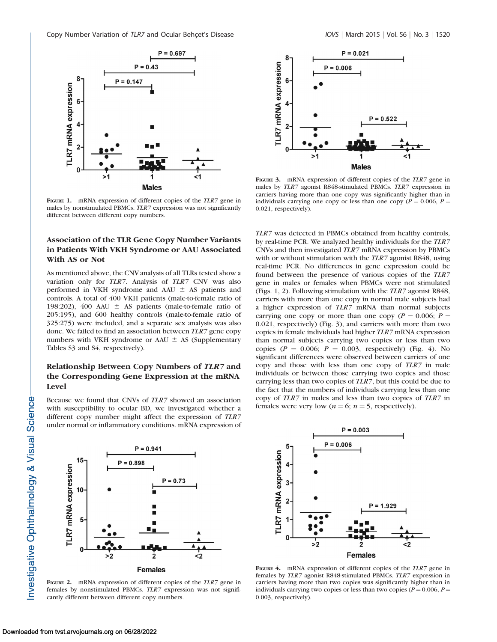

FIGURE 1. mRNA expression of different copies of the TLR7 gene in males by nonstimulated PBMCs. TLR7 expression was not significantly different between different copy numbers.

## Association of the TLR Gene Copy Number Variants in Patients With VKH Syndrome or AAU Associated With AS or Not

As mentioned above, the CNV analysis of all TLRs tested show a variation only for TLR7. Analysis of TLR7 CNV was also performed in VKH syndrome and AAU  $\pm$  AS patients and controls. A total of 400 VKH patients (male-to-female ratio of 198:202), 400 AAU  $\pm$  AS patients (male-to-female ratio of 205:195), and 600 healthy controls (male-to-female ratio of 325:275) were included, and a separate sex analysis was also done. We failed to find an association between TLR7 gene copy numbers with VKH syndrome or AAU  $\pm$  AS [\(Supplementary](http://www.iovs.org/content/56/3/1517/suppl/DC1) [Tables S3](http://www.iovs.org/content/56/3/1517/suppl/DC1) and [S4,](http://www.iovs.org/content/56/3/1517/suppl/DC1) respectively).

## Relationship Between Copy Numbers of TLR7 and the Corresponding Gene Expression at the mRNA Level

Because we found that CNVs of TLR7 showed an association with susceptibility to ocular BD, we investigated whether a different copy number might affect the expression of TLR7 under normal or inflammatory conditions. mRNA expression of



FIGURE 2. mRNA expression of different copies of the TLR7 gene in females by nonstimulated PBMCs. TLR7 expression was not significantly different between different copy numbers.



FIGURE 3. mRNA expression of different copies of the TLR7 gene in males by TLR7 agonist R848-stimulated PBMCs. TLR7 expression in carriers having more than one copy was significantly higher than in individuals carrying one copy or less than one copy ( $P = 0.006$ ,  $P =$ 0.021, respectively).

TLR7 was detected in PBMCs obtained from healthy controls, by real-time PCR. We analyzed healthy individuals for the TLR7 CNVs and then investigated TLR7 mRNA expression by PBMCs with or without stimulation with the *TLR7* agonist R848, using real-time PCR. No differences in gene expression could be found between the presence of various copies of the TLR7 gene in males or females when PBMCs were not stimulated (Figs. 1, 2). Following stimulation with the TLR7 agonist R848, carriers with more than one copy in normal male subjects had a higher expression of TLR7 mRNA than normal subjects carrying one copy or more than one copy ( $P = 0.006$ ;  $P =$ 0.021, respectively) (Fig. 3), and carriers with more than two copies in female individuals had higher TLR7 mRNA expression than normal subjects carrying two copies or less than two copies ( $P = 0.006$ ;  $P = 0.003$ , respectively) (Fig. 4). No significant differences were observed between carriers of one copy and those with less than one copy of TLR7 in male individuals or between those carrying two copies and those carrying less than two copies of TLR7, but this could be due to the fact that the numbers of individuals carrying less than one copy of TLR7 in males and less than two copies of TLR7 in females were very low ( $n = 6$ ;  $n = 5$ , respectively).



FIGURE 4. mRNA expression of different copies of the TLR7 gene in females by TLR7 agonist R848-stimulated PBMCs. TLR7 expression in carriers having more than two copies was significantly higher than in individuals carrying two copies or less than two copies ( $P = 0.006$ ,  $P =$ 0.003, respectively).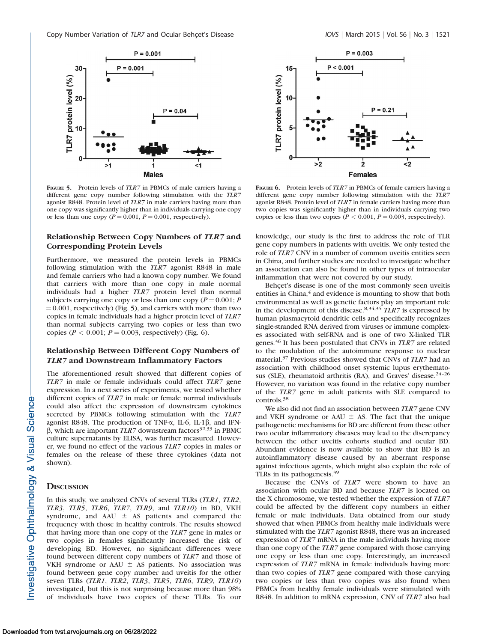

FIGURE 5. Protein levels of *TLR7* in PBMCs of male carriers having a different gene copy number following stimulation with the TLR7 agonist R848. Protein level of TLR7 in male carriers having more than one copy was significantly higher than in individuals carrying one copy or less than one copy ( $P = 0.001$ ,  $P = 0.001$ , respectively).

## Relationship Between Copy Numbers of TLR7 and Corresponding Protein Levels

Furthermore, we measured the protein levels in PBMCs following stimulation with the TLR7 agonist R848 in male and female carriers who had a known copy number. We found that carriers with more than one copy in male normal individuals had a higher TLR7 protein level than normal subjects carrying one copy or less than one copy ( $P = 0.001$ ; P  $= 0.001$ , respectively) (Fig. 5), and carriers with more than two copies in female individuals had a higher protein level of TLR7 than normal subjects carrying two copies or less than two copies ( $P < 0.001$ ;  $P = 0.003$ , respectively) (Fig. 6).

## Relationship Between Different Copy Numbers of TLR7 and Downstream Inflammatory Factors

The aforementioned result showed that different copies of TLR7 in male or female individuals could affect TLR7 gene expression. In a next series of experiments, we tested whether different copies of *TLR7* in male or female normal individuals could also affect the expression of downstream cytokines secreted by PBMCs following stimulation with the TLR7 agonist R848. The production of TNF- $\alpha$ , IL-6, IL-1 $\beta$ , and IFN- $\beta$ , which are important TLR7 downstream factors<sup>32,33</sup> in PBMC culture supernatants by ELISA, was further measured. However, we found no effect of the various TLR7 copies in males or females on the release of these three cytokines (data not shown).

#### **DISCUSSION**

In this study, we analyzed CNVs of several TLRs (TLR1, TLR2, TLR3, TLR5, TLR6, TLR7, TLR9, and TLR10) in BD, VKH syndrome, and AAU  $\pm$  AS patients and compared the frequency with those in healthy controls. The results showed that having more than one copy of the TLR7 gene in males or two copies in females significantly increased the risk of developing BD. However, no significant differences were found between different copy numbers of TLR7 and those of VKH syndrome or AAU  $\pm$  AS patients. No association was found between gene copy number and uveitis for the other seven TLRs (TLR1, TLR2, TLR3, TLR5, TLR6, TLR9, TLR10) investigated, but this is not surprising because more than 98% of individuals have two copies of these TLRs. To our



FIGURE 6. Protein levels of TLR7 in PBMCs of female carriers having a different gene copy number following stimulation with the TLR7 agonist R848. Protein level of TLR7 in female carriers having more than two copies was significantly higher than in individuals carrying two copies or less than two copies ( $P < 0.001$ ,  $P = 0.003$ , respectively).

knowledge, our study is the first to address the role of TLR gene copy numbers in patients with uveitis. We only tested the role of TLR7 CNV in a number of common uveitis entities seen in China, and further studies are needed to investigate whether an association can also be found in other types of intraocular inflammation that were not covered by our study.

Behçet's disease is one of the most commonly seen uveitis entities in China,<sup>4</sup> and evidence is mounting to show that both environmental as well as genetic factors play an important role in the development of this disease.<sup>8,34,35</sup>  $TLR7$  is expressed by human plasmacytoid dendritic cells and specifically recognizes single-stranded RNA derived from viruses or immune complexes associated with self-RNA and is one of two X-linked TLR genes.<sup>36</sup> It has been postulated that CNVs in TLR7 are related to the modulation of the autoimmune response to nuclear material.<sup>37</sup> Previous studies showed that CNVs of TLR7 had an association with childhood onset systemic lupus erythematosus (SLE), rheumatoid arthritis (RA), and Graves' disease.<sup>24-26</sup> However, no variation was found in the relative copy number of the TLR7 gene in adult patients with SLE compared to controls.<sup>38</sup>

We also did not find an association between TLR7 gene CNV and VKH syndrome or AAU  $\pm$  AS. The fact that the unique pathogenetic mechanisms for BD are different from these other two ocular inflammatory diseases may lead to the discrepancy between the other uveitis cohorts studied and ocular BD. Abundant evidence is now available to show that BD is an autoinflammatory disease caused by an aberrant response against infectious agents, which might also explain the role of TLRs in its pathogenesis.<sup>39</sup>

Because the CNVs of TLR7 were shown to have an association with ocular BD and because TLR7 is located on the X chromosome, we tested whether the expression of TLR7 could be affected by the different copy numbers in either female or male individuals. Data obtained from our study showed that when PBMCs from healthy male individuals were stimulated with the TLR7 agonist R848, there was an increased expression of TLR7 mRNA in the male individuals having more than one copy of the TLR7 gene compared with those carrying one copy or less than one copy. Interestingly, an increased expression of TLR7 mRNA in female individuals having more than two copies of TLR7 gene compared with those carrying two copies or less than two copies was also found when PBMCs from healthy female individuals were stimulated with R848. In addition to mRNA expression, CNV of TLR7 also had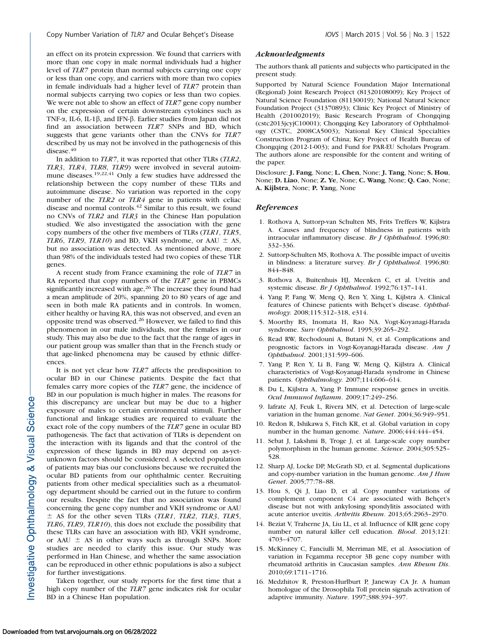an effect on its protein expression. We found that carriers with more than one copy in male normal individuals had a higher level of TLR7 protein than normal subjects carrying one copy or less than one copy, and carriers with more than two copies in female individuals had a higher level of TLR7 protein than normal subjects carrying two copies or less than two copies. We were not able to show an effect of *TLR7* gene copy number on the expression of certain downstream cytokines such as TNF- $\alpha$ , IL-6, IL-1 $\beta$ , and IFN- $\beta$ . Earlier studies from Japan did not find an association between TLR7 SNPs and BD, which suggests that gene variants other than the CNVs for TLR7 described by us may not be involved in the pathogenesis of this disease.<sup>40</sup>

In addition to TLR7, it was reported that other TLRs (TLR2, TLR3, TLR4, TLR8, TLR9) were involved in several autoimmune diseases.<sup>19,22,41</sup> Only a few studies have addressed the relationship between the copy number of these TLRs and autoimmune disease. No variation was reported in the copy number of the TLR2 or TLR4 gene in patients with celiac disease and normal controls.<sup>42</sup> Similar to this result, we found no CNVs of TLR2 and TLR3 in the Chinese Han population studied. We also investigated the association with the gene copy numbers of the other five members of TLRs (TLR1, TLR5, TLR6, TLR9, TLR10) and BD, VKH syndrome, or AAU  $\pm$  AS, but no association was detected. As mentioned above, more than 98% of the individuals tested had two copies of these TLR genes.

A recent study from France examining the role of TLR7 in RA reported that copy numbers of the TLR7 gene in PBMCs significantly increased with age,<sup>26</sup> The increase they found had a mean amplitude of 20%, spanning 20 to 80 years of age and seen in both male RA patients and in controls. In women, either healthy or having RA, this was not observed, and even an opposite trend was observed.<sup>26</sup> However, we failed to find this phenomenon in our male individuals, nor the females in our study. This may also be due to the fact that the range of ages in our patient group was smaller than that in the French study or that age-linked phenomena may be caused by ethnic differences.

It is not yet clear how TLR7 affects the predisposition to ocular BD in our Chinese patients. Despite the fact that females carry more copies of the TLR7 gene, the incidence of BD in our population is much higher in males. The reasons for this discrepancy are unclear but may be due to a higher exposure of males to certain environmental stimuli. Further functional and linkage studies are required to evaluate the exact role of the copy numbers of the TLR7 gene in ocular BD pathogenesis. The fact that activation of TLRs is dependent on the interaction with its ligands and that the control of the expression of these ligands in BD may depend on as-yetunknown factors should be considered. A selected population of patients may bias our conclusions because we recruited the ocular BD patients from our ophthalmic center. Recruiting patients from other medical specialities such as a rheumatology department should be carried out in the future to confirm our results. Despite the fact that no association was found concerning the gene copy number and VKH syndrome or AAU  $\pm$  AS for the other seven TLRs (TLR1, TLR2, TLR3, TLR5, TLR6, TLR9, TLR10), this does not exclude the possibility that these TLRs can have an association with BD, VKH syndrome, or AAU  $\pm$  AS in other ways such as through SNPs. More studies are needed to clarify this issue. Our study was performed in Han Chinese, and whether the same association can be reproduced in other ethnic populations is also a subject for further investigations.

Taken together, our study reports for the first time that a high copy number of the TLR7 gene indicates risk for ocular BD in a Chinese Han population.

## Acknowledgments

The authors thank all patients and subjects who participated in the present study.

Supported by Natural Science Foundation Major International (Regional) Joint Research Project (81320108009); Key Project of Natural Science Foundation (81130019); National Natural Science Foundation Project (31370893); Clinic Key Project of Ministry of Health (201002019); Basic Research Program of Chongqing (cstc2013jcyjC10001); Chongqing Key Laboratory of Ophthalmology (CSTC, 2008CA5003); National Key Clinical Specialties Construction Program of China; Key Project of Health Bureau of Chongqing (2012-1-003); and Fund for PAR-EU Scholars Program. The authors alone are responsible for the content and writing of the paper.

Disclosure: J. Fang, None; L. Chen, None; J. Tang, None; S. Hou, None; D. Liao, None; Z. Ye, None; C. Wang, None; Q. Cao, None; A. Kijlstra, None; P. Yang, None

#### References

- 1. Rothova A, Suttorp-van Schulten MS, Frits Treffers W, Kijlstra A. Causes and frequency of blindness in patients with intraocular inflammatory disease. Br J Ophthalmol. 1996;80: 332–336.
- 2. Suttorp-Schulten MS, Rothova A. The possible impact of uveitis in blindness: a literature survey. Br J Ophthalmol. 1996;80: 844–848.
- 3. Rothova A, Buitenhuis HJ, Meenken C, et al. Uveitis and systemic disease. Br J Ophthalmol. 1992;76:137–141.
- 4. Yang P, Fang W, Meng Q, Ren Y, Xing L, Kijlstra A. Clinical features of Chinese patients with Behçet's disease. Ophthalmology. 2008;115:312–318, e314.
- 5. Moorthy RS, Inomata H, Rao NA. Vogt-Koyanagi-Harada syndrome. Surv Ophthalmol. 1995;39:265–292.
- 6. Read RW, Rechodouni A, Butani N, et al. Complications and prognostic factors in Vogt-Koyanagi-Harada disease. Am J Ophthalmol. 2001;131:599–606.
- 7. Yang P, Ren Y, Li B, Fang W, Meng Q, Kijlstra A. Clinical characteristics of Vogt-Koyanagi-Harada syndrome in Chinese patients. Ophthalmology. 2007;114:606–614.
- 8. Du L, Kijlstra A, Yang P. Immune response genes in uveitis. Ocul Immunol Inflamm. 2009;17:249–256.
- 9. Iafrate AJ, Feuk L, Rivera MN, et al. Detection of large-scale variation in the human genome. Nat Genet. 2004;36:949–951.
- 10. Redon R, Ishikawa S, Fitch KR, et al. Global variation in copy number in the human genome. Nature. 2006;444:444–454.
- 11. Sebat J, Lakshmi B, Troge J, et al. Large-scale copy number polymorphism in the human genome. Science. 2004;305:525– 528.
- 12. Sharp AJ, Locke DP, McGrath SD, et al. Segmental duplications and copy-number variation in the human genome. Am J Hum Genet. 2005;77:78–88.
- 13. Hou S, Qi J, Liao D, et al. Copy number variations of complement component C4 are associated with Behçet's disease but not with ankylosing spondylitis associated with acute anterior uveitis. Arthritis Rheum. 2013;65:2963–2970.
- 14. Beziat V, Traherne JA, Liu LL, et al. Influence of KIR gene copy number on natural killer cell education. Blood. 2013;121: 4703–4707.
- 15. McKinney C, Fanciulli M, Merriman ME, et al. Association of variation in Fcgamma receptor 3B gene copy number with rheumatoid arthritis in Caucasian samples. Ann Rheum Dis. 2010;69:1711–1716.
- 16. Medzhitov R, Preston-Hurlburt P, Janeway CA Jr. A human homologue of the Drosophila Toll protein signals activation of adaptive immunity. Nature. 1997;388:394–397.

nvestigative Ophthalmology & Visual Science